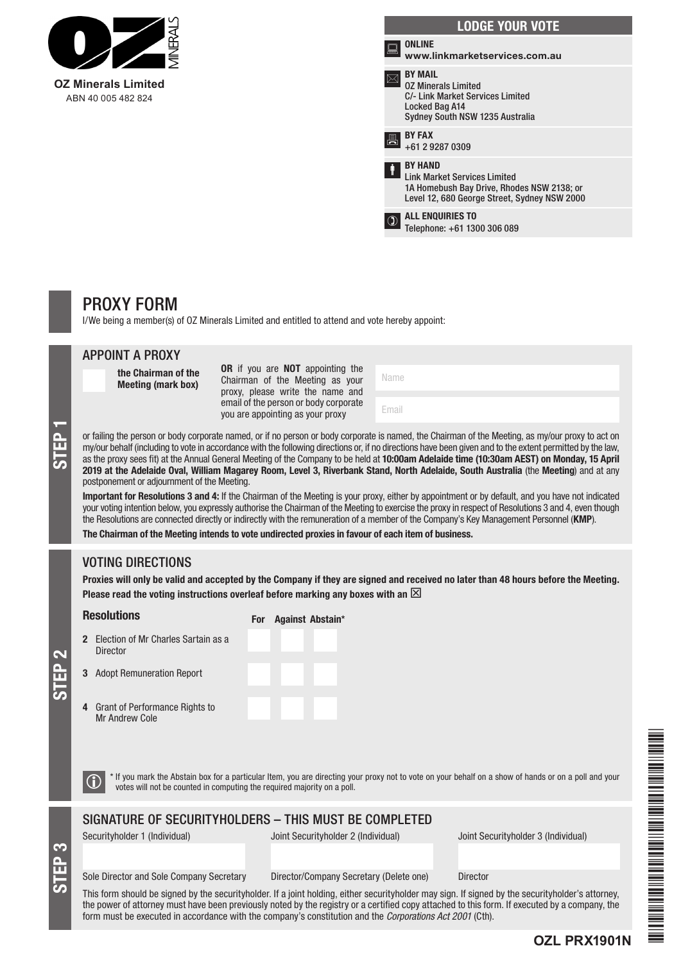

| <b>LODGE YOUR VOTE</b> |                                                                                                                                                     |  |  |
|------------------------|-----------------------------------------------------------------------------------------------------------------------------------------------------|--|--|
| ≂                      | <b>ONLINE</b><br>www.linkmarketservices.com.au                                                                                                      |  |  |
|                        | <b>BY MAIL</b><br><b>0Z Minerals Limited</b><br>C/- Link Market Services Limited<br>Locked Bag A14<br>Sydney South NSW 1235 Australia               |  |  |
| 昌                      | <b>BY FAX</b><br>+61 2 9287 0309                                                                                                                    |  |  |
| İ                      | <b>BY HAND</b><br><b>Link Market Services Limited</b><br>1A Homebush Bay Drive, Rhodes NSW 2138; or<br>Level 12, 680 George Street, Sydney NSW 2000 |  |  |
|                        | <b>ALL ENQUIRIES TO</b><br>Telephone: +61 1300 306 089                                                                                              |  |  |
|                        |                                                                                                                                                     |  |  |

# PROXY FORM

I/We being a member(s) of OZ Minerals Limited and entitled to attend and vote hereby appoint:

|                   | <b>APPOINT A PROXY</b>                                                                                                                                                                                                                                                                                                                                                                                                                                                                                                                                                                                                                                                                                                                                                                                                                                                                                                                                                                                                                                                                                                                                                                                           |                                                                                                                                                                                                                                |                                                                                                                                                       |  |  |  |
|-------------------|------------------------------------------------------------------------------------------------------------------------------------------------------------------------------------------------------------------------------------------------------------------------------------------------------------------------------------------------------------------------------------------------------------------------------------------------------------------------------------------------------------------------------------------------------------------------------------------------------------------------------------------------------------------------------------------------------------------------------------------------------------------------------------------------------------------------------------------------------------------------------------------------------------------------------------------------------------------------------------------------------------------------------------------------------------------------------------------------------------------------------------------------------------------------------------------------------------------|--------------------------------------------------------------------------------------------------------------------------------------------------------------------------------------------------------------------------------|-------------------------------------------------------------------------------------------------------------------------------------------------------|--|--|--|
| STEP <sub>1</sub> | the Chairman of the<br><b>Meeting (mark box)</b>                                                                                                                                                                                                                                                                                                                                                                                                                                                                                                                                                                                                                                                                                                                                                                                                                                                                                                                                                                                                                                                                                                                                                                 | OR if you are NOT appointing the<br>Chairman of the Meeting as your<br>proxy, please write the name and                                                                                                                        | Name                                                                                                                                                  |  |  |  |
|                   |                                                                                                                                                                                                                                                                                                                                                                                                                                                                                                                                                                                                                                                                                                                                                                                                                                                                                                                                                                                                                                                                                                                                                                                                                  | email of the person or body corporate<br>you are appointing as your proxy                                                                                                                                                      | Email                                                                                                                                                 |  |  |  |
|                   | or failing the person or body corporate named, or if no person or body corporate is named, the Chairman of the Meeting, as my/our proxy to act on<br>my/our behalf (including to vote in accordance with the following directions or, if no directions have been given and to the extent permitted by the law,<br>as the proxy sees fit) at the Annual General Meeting of the Company to be held at 10:00am Adelaide time (10:30am AEST) on Monday, 15 April<br>2019 at the Adelaide Oval, William Magarey Room, Level 3, Riverbank Stand, North Adelaide, South Australia (the Meeting) and at any<br>postponement or adjournment of the Meeting.<br>Important for Resolutions 3 and 4: If the Chairman of the Meeting is your proxy, either by appointment or by default, and you have not indicated<br>your voting intention below, you expressly authorise the Chairman of the Meeting to exercise the proxy in respect of Resolutions 3 and 4, even though<br>the Resolutions are connected directly or indirectly with the remuneration of a member of the Company's Key Management Personnel (KMP).<br>The Chairman of the Meeting intends to vote undirected proxies in favour of each item of business. |                                                                                                                                                                                                                                |                                                                                                                                                       |  |  |  |
|                   | <b>VOTING DIRECTIONS</b>                                                                                                                                                                                                                                                                                                                                                                                                                                                                                                                                                                                                                                                                                                                                                                                                                                                                                                                                                                                                                                                                                                                                                                                         |                                                                                                                                                                                                                                |                                                                                                                                                       |  |  |  |
|                   |                                                                                                                                                                                                                                                                                                                                                                                                                                                                                                                                                                                                                                                                                                                                                                                                                                                                                                                                                                                                                                                                                                                                                                                                                  | Proxies will only be valid and accepted by the Company if they are signed and received no later than 48 hours before the Meeting.<br>Please read the voting instructions overleaf before marking any boxes with an $\boxtimes$ |                                                                                                                                                       |  |  |  |
| <b>STEP 2</b>     | <b>Resolutions</b>                                                                                                                                                                                                                                                                                                                                                                                                                                                                                                                                                                                                                                                                                                                                                                                                                                                                                                                                                                                                                                                                                                                                                                                               | For Against Abstain*                                                                                                                                                                                                           |                                                                                                                                                       |  |  |  |
|                   | 2 Election of Mr Charles Sartain as a<br><b>Director</b>                                                                                                                                                                                                                                                                                                                                                                                                                                                                                                                                                                                                                                                                                                                                                                                                                                                                                                                                                                                                                                                                                                                                                         |                                                                                                                                                                                                                                |                                                                                                                                                       |  |  |  |
|                   | <b>Adopt Remuneration Report</b><br>3                                                                                                                                                                                                                                                                                                                                                                                                                                                                                                                                                                                                                                                                                                                                                                                                                                                                                                                                                                                                                                                                                                                                                                            |                                                                                                                                                                                                                                |                                                                                                                                                       |  |  |  |
|                   | <b>Grant of Performance Rights to</b><br>4<br>Mr Andrew Cole                                                                                                                                                                                                                                                                                                                                                                                                                                                                                                                                                                                                                                                                                                                                                                                                                                                                                                                                                                                                                                                                                                                                                     |                                                                                                                                                                                                                                |                                                                                                                                                       |  |  |  |
|                   | G                                                                                                                                                                                                                                                                                                                                                                                                                                                                                                                                                                                                                                                                                                                                                                                                                                                                                                                                                                                                                                                                                                                                                                                                                | votes will not be counted in computing the required majority on a poll.                                                                                                                                                        | * If you mark the Abstain box for a particular Item, you are directing your proxy not to vote on your behalf on a show of hands or on a poll and your |  |  |  |
|                   |                                                                                                                                                                                                                                                                                                                                                                                                                                                                                                                                                                                                                                                                                                                                                                                                                                                                                                                                                                                                                                                                                                                                                                                                                  | SIGNATURE OF SECURITYHOLDERS - THIS MUST BE COMPLETED                                                                                                                                                                          |                                                                                                                                                       |  |  |  |
|                   | Convitubolder 1 (Individual)                                                                                                                                                                                                                                                                                                                                                                                                                                                                                                                                                                                                                                                                                                                                                                                                                                                                                                                                                                                                                                                                                                                                                                                     | Loint Coqurity bolder 2 (Individual)                                                                                                                                                                                           | lojnt Coqurituboldor 2 (Individual)                                                                                                                   |  |  |  |

Securityholder 1 (Individual) Joint Securityholder 2 (Individual) Joint Securityholder 3 (Individual)

**OZL PRX1901N**

# Sole Director and Sole Company Secretary Director/Company Secretary (Delete one) Director

STEP 3

This form should be signed by the securityholder. If a joint holding, either securityholder may sign. If signed by the securityholder's attorney, the power of attorney must have been previously noted by the registry or a certified copy attached to this form. If executed by a company, the form must be executed in accordance with the company's constitution and the *Corporations Act 2001* (Cth).